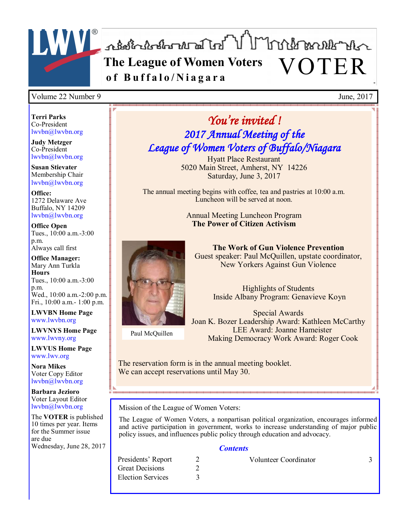

#### Volume 22 Number 9 June, 2017

**Terri Parks** Co-President lwvbn@lwvbn.org

**Judy Metzger** Co-President lwvbn@lwvbn.org

**Susan Stievater** Membership Chair lwvbn@lwvbn.org

**Office:** 1272 Delaware Ave Buffalo, NY 14209 lwvbn@lwvbn.org

**Office Open** Tues., 10:00 a.m.-3:00 p.m. Always call first

**Office Manager:** Mary Ann Turkla **Hours** Tues., 10:00 a.m.-3:00 p.m. Wed., 10:00 a.m.-2:00 p.m. Fri., 10:00 a.m.- 1:00 p.m.

**LWVBN Home Page** www.lwvbn.org

**LWVNYS Home Page**  www.lwvny.org

**LWVUS Home Page** www.lwv.org

**Nora Mikes** Voter Copy Editor lwvbn@lwvbn.org

**Barbara Jezioro** Voter Layout Editor lwvbn@lwvbn.org

The **VOTER** is published 10 times per year. Items for the Summer issue are due Wednesday, June 28, 2017

# *You're invited ! 2017 Annual Meeting of the League of Women Voters of Buffalo/Niagara*

Hyatt Place Restaurant 5020 Main Street, Amherst, NY 14226 Saturday, June 3, 2017

The annual meeting begins with coffee, tea and pastries at 10:00 a.m. Luncheon will be served at noon.

> Annual Meeting Luncheon Program **The Power of Citizen Activism**



**The Work of Gun Violence Prevention** Guest speaker: Paul McQuillen, upstate coordinator, New Yorkers Against Gun Violence

> Highlights of Students Inside Albany Program: Genavieve Koyn

Paul McQuillen

Special Awards Joan K. Bozer Leadership Award: Kathleen McCarthy LEE Award: Joanne Hameister Making Democracy Work Award: Roger Cook

The reservation form is in the annual meeting booklet. We can accept reservations until May 30.

Mission of the League of Women Voters:

The League of Women Voters, a nonpartisan political organization, encourages informed and active participation in government, works to increase understanding of major public policy issues, and influences public policy through education and advocacy.

#### *Contents*

Great Decisions 2 Election Services 3

Presidents' Report 2 Volunteer Coordinator 3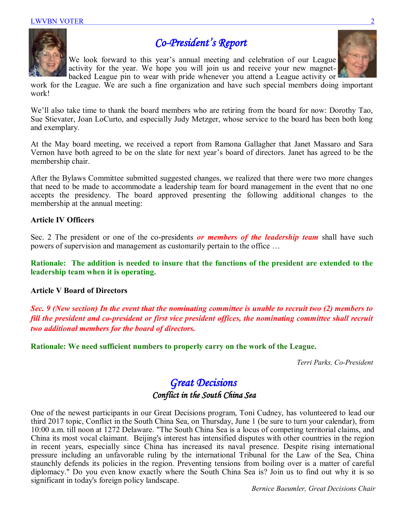

## *Co-President's Report*

We look forward to this year's annual meeting and celebration of our League activity for the year. We hope you will join us and receive your new magnetbacked League pin to wear with pride whenever you attend a League activity or

work for the League. We are such a fine organization and have such special members doing important work!

We'll also take time to thank the board members who are retiring from the board for now: Dorothy Tao, Sue Stievater, Joan LoCurto, and especially Judy Metzger, whose service to the board has been both long and exemplary.

At the May board meeting, we received a report from Ramona Gallagher that Janet Massaro and Sara Vernon have both agreed to be on the slate for next year's board of directors. Janet has agreed to be the membership chair.

After the Bylaws Committee submitted suggested changes, we realized that there were two more changes that need to be made to accommodate a leadership team for board management in the event that no one accepts the presidency. The board approved presenting the following additional changes to the membership at the annual meeting:

#### **Article IV Officers**

Sec. 2 The president or one of the co-presidents *or members of the leadership team* shall have such powers of supervision and management as customarily pertain to the office …

**Rationale: The addition is needed to insure that the functions of the president are extended to the leadership team when it is operating.**

#### **Article V Board of Directors**

*Sec. 9 (New section) In the event that the nominating committee is unable to recruit two (2) members to fill the president and co-president or first vice president offices, the nominating committee shall recruit two additional members for the board of directors.* 

**Rationale: We need sufficient numbers to properly carry on the work of the League.** 

*Terri Parks, Co-President*

### *Great Decisions Conflict in the South China Sea*

One of the newest participants in our Great Decisions program, Toni Cudney, has volunteered to lead our third 2017 topic, Conflict in the South China Sea, on Thursday, June 1 (be sure to turn your calendar), from 10:00 a.m. till noon at 1272 Delaware. "The South China Sea is a locus of competing territorial claims, and China its most vocal claimant. Beijing's interest has intensified disputes with other countries in the region in recent years, especially since China has increased its naval presence. Despite rising international pressure including an unfavorable ruling by the international Tribunal for the Law of the Sea, China staunchly defends its policies in the region. Preventing tensions from boiling over is a matter of careful diplomacy." Do you even know exactly where the South China Sea is? Join us to find out why it is so significant in today's foreign policy landscape.

*Bernice Baeumler, Great Decisions Chair*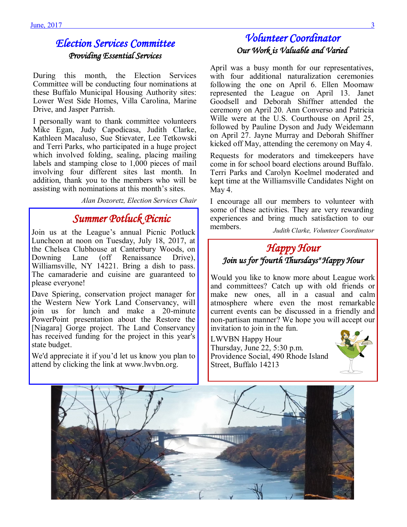### *Election Services Committee Providing Essential Services*

During this month, the Election Services Committee will be conducting four nominations at these Buffalo Municipal Housing Authority sites: Lower West Side Homes, Villa Carolina, Marine Drive, and Jasper Parrish.

I personally want to thank committee volunteers Mike Egan, Judy Capodicasa, Judith Clarke, Kathleen Macaluso, Sue Stievater, Lee Tetkowski and Terri Parks, who participated in a huge project which involved folding, sealing, placing mailing labels and stamping close to 1,000 pieces of mail involving four different sites last month. In addition, thank you to the members who will be assisting with nominations at this month's sites.

*Alan Dozoretz, Election Services Chair* 

### *Summer Potluck Picnic*

Join us at the League's annual Picnic Potluck Luncheon at noon on Tuesday, July 18, 2017, at the Chelsea Clubhouse at Canterbury Woods, on Downing Lane (off Renaissance Drive), Williamsville, NY 14221. Bring a dish to pass. The camaraderie and cuisine are guaranteed to please everyone!

Dave Spiering, conservation project manager for the Western New York Land Conservancy, will join us for lunch and make a 20-minute PowerPoint presentation about the Restore the [Niagara] Gorge project. The Land Conservancy has received funding for the project in this year's state budget.

We'd appreciate it if you'd let us know you plan to attend by clicking the link at www.lwvbn.org.

### *Volunteer Coordinator Our Work is Valuable and Varied*

April was a busy month for our representatives, with four additional naturalization ceremonies following the one on April 6. Ellen Moomaw represented the League on April 13. Janet Goodsell and Deborah Shiffner attended the ceremony on April 20. Ann Converso and Patricia Wille were at the U.S. Courthouse on April 25, followed by Pauline Dyson and Judy Weidemann on April 27. Jayne Murray and Deborah Shiffner kicked off May, attending the ceremony on May 4.

Requests for moderators and timekeepers have come in for school board elections around Buffalo. Terri Parks and Carolyn Koelmel moderated and kept time at the Williamsville Candidates Night on May 4.

I encourage all our members to volunteer with some of these activities. They are very rewarding experiences and bring much satisfaction to our members.

*Judith Clarke, Volunteer Coordinator* 

### *Happy Hour Join us for "fourth Thursdays" Happy Hour*

Would you like to know more about League work and committees? Catch up with old friends or make new ones, all in a casual and calm atmosphere where even the most remarkable current events can be discussed in a friendly and non-partisan manner? We hope you will accept our invitation to join in the fun.

LWVBN Happy Hour Thursday, June 22, 5:30 p.m. Providence Social, 490 Rhode Island Street, Buffalo 14213